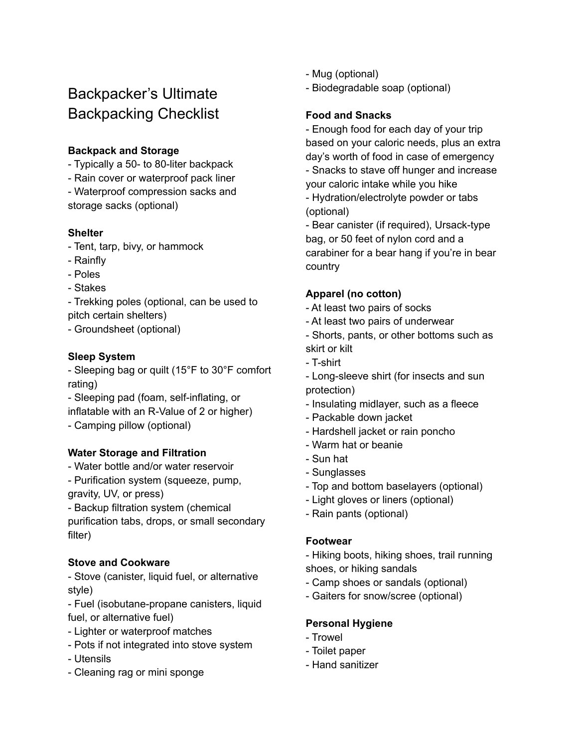# Backpacker's Ultimate Backpacking Checklist

# **Backpack and Storage**

- Typically a 50- to 80-liter backpack
- Rain cover or waterproof pack liner

- Waterproof compression sacks and storage sacks (optional)

## **Shelter**

- Tent, tarp, bivy, or hammock
- Rainfly
- Poles
- Stakes

- Trekking poles (optional, can be used to pitch certain shelters)

- Groundsheet (optional)

# **Sleep System**

- Sleeping bag or quilt (15°F to 30°F comfort rating)

- Sleeping pad (foam, self-inflating, or inflatable with an R-Value of 2 or higher)
- Camping pillow (optional)

## **Water Storage and Filtration**

- Water bottle and/or water reservoir
- Purification system (squeeze, pump, gravity, UV, or press)

- Backup filtration system (chemical purification tabs, drops, or small secondary filter)

## **Stove and Cookware**

- Stove (canister, liquid fuel, or alternative style)

- Fuel (isobutane-propane canisters, liquid fuel, or alternative fuel)

- Lighter or waterproof matches
- Pots if not integrated into stove system
- Utensils
- Cleaning rag or mini sponge
- Mug (optional)
- Biodegradable soap (optional)

# **Food and Snacks**

- Enough food for each day of your trip based on your caloric needs, plus an extra day's worth of food in case of emergency - Snacks to stave off hunger and increase your caloric intake while you hike - Hydration/electrolyte powder or tabs (optional)

- Bear canister (if required), Ursack-type bag, or 50 feet of nylon cord and a carabiner for a bear hang if you're in bear country

# **Apparel (no cotton)**

- At least two pairs of socks
- At least two pairs of underwear
- Shorts, pants, or other bottoms such as skirt or kilt
- T-shirt
- Long-sleeve shirt (for insects and sun protection)
- Insulating midlayer, such as a fleece
- Packable down jacket
- Hardshell jacket or rain poncho
- Warm hat or beanie
- Sun hat
- Sunglasses
- Top and bottom baselayers (optional)
- Light gloves or liners (optional)
- Rain pants (optional)

## **Footwear**

- Hiking boots, hiking shoes, trail running shoes, or hiking sandals
- Camp shoes or sandals (optional)
- Gaiters for snow/scree (optional)

## **Personal Hygiene**

- Trowel
- Toilet paper
- Hand sanitizer